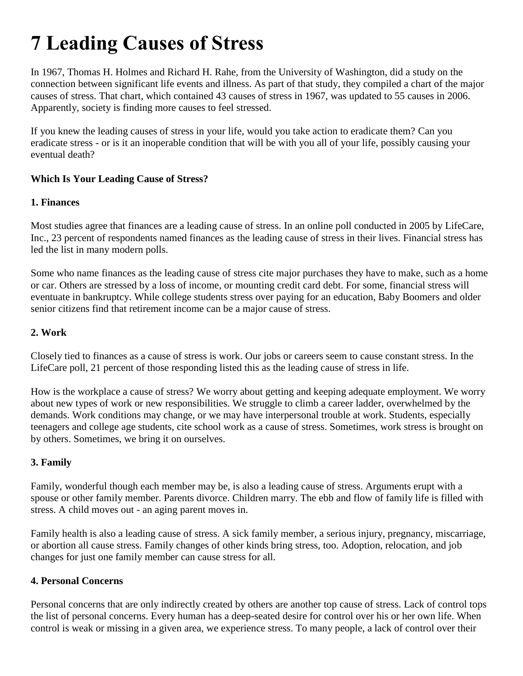# **7 Leading Causes of Stress**

In 1967, Thomas H. Holmes and Richard H. Rahe, from the University of Washington, did a study on the connection between significant life events and illness. As part of that study, they compiled a chart of the major causes of stress. That chart, which contained 43 causes of stress in 1967, was updated to 55 causes in 2006. Apparently, society is finding more causes to feel stressed.

If you knew the leading causes of stress in your life, would you take action to eradicate them? Can you eradicate stress - or is it an inoperable condition that will be with you all of your life, possibly causing your eventual death?

## **Which Is Your Leading Cause of Stress?**

#### **1. Finances**

Most studies agree that finances are a leading cause of stress. In an online poll conducted in 2005 by LifeCare, Inc., 23 percent of respondents named finances as the leading cause of stress in their lives. Financial stress has led the list in many modern polls.

Some who name finances as the leading cause of stress cite major purchases they have to make, such as a home or car. Others are stressed by a loss of income, or mounting credit card debt. For some, financial stress will eventuate in bankruptcy. While college students stress over paying for an education, Baby Boomers and older senior citizens find that retirement income can be a major cause of stress.

### **2. Work**

Closely tied to finances as a cause of stress is work. Our jobs or careers seem to cause constant stress. In the LifeCare poll, 21 percent of those responding listed this as the leading cause of stress in life.

How is the workplace a cause of stress? We worry about getting and keeping adequate employment. We worry about new types of work or new responsibilities. We struggle to climb a career ladder, overwhelmed by the demands. Work conditions may change, or we may have interpersonal trouble at work. Students, especially teenagers and college age students, cite school work as a cause of stress. Sometimes, work stress is brought on by others. Sometimes, we bring it on ourselves.

#### **3. Family**

Family, wonderful though each member may be, is also a leading cause of stress. Arguments erupt with a spouse or other family member. Parents divorce. Children marry. The ebb and flow of family life is filled with stress. A child moves out - an aging parent moves in.

Family health is also a leading cause of stress. A sick family member, a serious injury, pregnancy, miscarriage, or abortion all cause stress. Family changes of other kinds bring stress, too. Adoption, relocation, and job changes for just one family member can cause stress for all.

#### **4. Personal Concerns**

Personal concerns that are only indirectly created by others are another top cause of stress. Lack of control tops the list of personal concerns. Every human has a deep-seated desire for control over his or her own life. When control is weak or missing in a given area, we experience stress. To many people, a lack of control over their